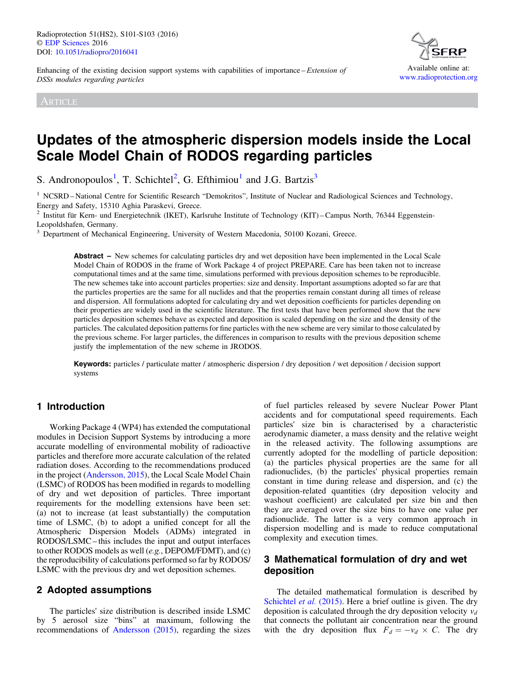Enhancing of the existing decision support systems with capabilities of importance – Extension of DSSs modules regarding particles

ARTICLE



# Updates of the atmospheric dispersion models inside the Local Scale Model Chain of RODOS regarding particles

S. Andronopoulos<sup>1</sup>, T. Schichtel<sup>2</sup>, G. Efthimiou<sup>1</sup> and J.G. Bartzis<sup>3</sup>

 $<sup>1</sup>$  NCSRD – National Centre for Scientific Research "Demokritos", Institute of Nuclear and Radiological Sciences and Technology,</sup> Energy and Safety, 15310 Aghia Paraskevi, Greece.

<sup>2</sup> Institut für Kern- und Energietechnik (IKET), Karlsruhe Institute of Technology (KIT) – Campus North, 76344 Eggenstein-Leopoldshafen, Germany.

<sup>3</sup> Department of Mechanical Engineering, University of Western Macedonia, 50100 Kozani, Greece.

Abstract – New schemes for calculating particles dry and wet deposition have been implemented in the Local Scale Model Chain of RODOS in the frame of Work Package 4 of project PREPARE. Care has been taken not to increase computational times and at the same time, simulations performed with previous deposition schemes to be reproducible. The new schemes take into account particles properties: size and density. Important assumptions adopted so far are that the particles properties are the same for all nuclides and that the properties remain constant during all times of release and dispersion. All formulations adopted for calculating dry and wet deposition coefficients for particles depending on their properties are widely used in the scientific literature. The first tests that have been performed show that the new particles deposition schemes behave as expected and deposition is scaled depending on the size and the density of the particles. The calculated deposition patterns for fine particles with the new scheme are very similar to those calculated by the previous scheme. For larger particles, the differences in comparison to results with the previous deposition scheme justify the implementation of the new scheme in JRODOS.

Keywords: particles / particulate matter / atmospheric dispersion / dry deposition / wet deposition / decision support systems

## 1 Introduction

Working Package 4 (WP4) has extended the computational modules in Decision Support Systems by introducing a more accurate modelling of environmental mobility of radioactive particles and therefore more accurate calculation of the related radiation doses. According to the recommendations produced in the project ([Andersson, 2015](#page-2-0)), the Local Scale Model Chain (LSMC) of RODOS has been modified in regards to modelling of dry and wet deposition of particles. Three important requirements for the modelling extensions have been set: (a) not to increase (at least substantially) the computation time of LSMC, (b) to adopt a unified concept for all the Atmospheric Dispersion Models (ADMs) integrated in RODOS/LSMC– this includes the input and output interfaces to other RODOS models as well (e.g., DEPOM/FDMT), and (c) the reproducibility of calculations performed so far by RODOS/ LSMC with the previous dry and wet deposition schemes.

### 2 Adopted assumptions

The particles' size distribution is described inside LSMC by 5 aerosol size "bins" at maximum, following the recommendations of [Andersson \(2015\)](#page-2-0), regarding the sizes of fuel particles released by severe Nuclear Power Plant accidents and for computational speed requirements. Each particles' size bin is characterised by a characteristic aerodynamic diameter, a mass density and the relative weight in the released activity. The following assumptions are currently adopted for the modelling of particle deposition: (a) the particles physical properties are the same for all radionuclides, (b) the particles' physical properties remain constant in time during release and dispersion, and (c) the deposition-related quantities (dry deposition velocity and washout coefficient) are calculated per size bin and then they are averaged over the size bins to have one value per radionuclide. The latter is a very common approach in dispersion modelling and is made to reduce computational complexity and execution times.

## 3 Mathematical formulation of dry and wet deposition

The detailed mathematical formulation is described by [Schichtel](#page-2-0) et al. (2015). Here a brief outline is given. The dry deposition is calculated through the dry deposition velocity  $v_d$ that connects the pollutant air concentration near the ground with the dry deposition flux  $F_d = -v_d \times C$ . The dry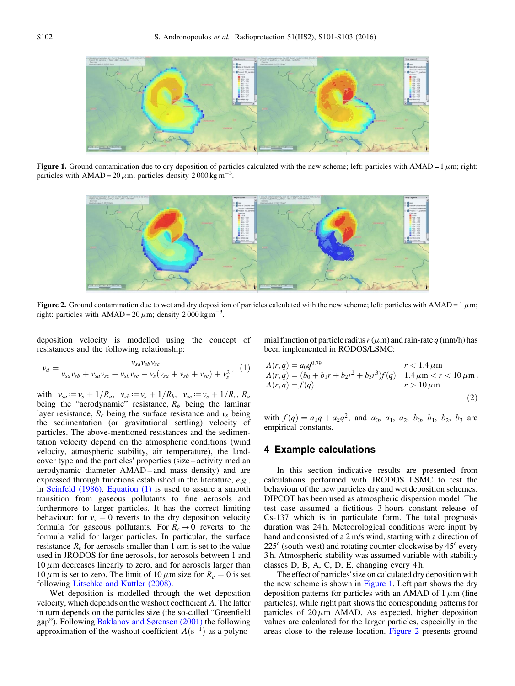<span id="page-1-0"></span>

Figure 1. Ground contamination due to dry deposition of particles calculated with the new scheme; left: particles with AMAD =  $1 \mu m$ ; right: particles with  $AMAD = 20 \mu m$ ; particles density  $2000 \text{ kg m}^{-3}$ .



Figure 2. Ground contamination due to wet and dry deposition of particles calculated with the new scheme; left: particles with AMAD = 1  $\mu$ m; right: particles with  $AMAD = 20 \mu m$ ; density  $2000 \text{ kg m}^{-3}$ .

deposition velocity is modelled using the concept of resistances and the following relationship:

$$
v_d = \frac{v_{sa}v_{sb}v_{sc}}{v_{sa}v_{sb} + v_{sa}v_{sc} + v_{sb}v_{sc} - v_s(v_{sa} + v_{sb} + v_{sc}) + v_s^2},
$$
 (1)

with  $v_{sa} := v_s + 1/R_a$ ,  $v_{sb} := v_s + 1/R_b$ ,  $v_{sc} := v_s + 1/R_c$ ,  $R_a$ being the "aerodynamic" resistance,  $R_b$  being the laminar layer resistance,  $R_c$  being the surface resistance and  $v_s$  being the sedimentation (or gravitational settling) velocity of particles. The above-mentioned resistances and the sedimentation velocity depend on the atmospheric conditions (wind velocity, atmospheric stability, air temperature), the landcover type and the particles' properties (size – activity median aerodynamic diameter AMAD – and mass density) and are expressed through functions established in the literature, e.g., in [Seinfeld \(1986\).](#page-2-0) Equation (1) is used to assure a smooth transition from gaseous pollutants to fine aerosols and furthermore to larger particles. It has the correct limiting behaviour: for  $v_s = 0$  reverts to the dry deposition velocity formula for gaseous pollutants. For  $R_c \rightarrow 0$  reverts to the formula valid for larger particles. In particular, the surface resistance  $R_c$  for aerosols smaller than 1  $\mu$ m is set to the value used in JRODOS for fine aerosols, for aerosols between 1 and  $10 \mu$ m decreases linearly to zero, and for aerosols larger than  $10 \mu$ m is set to zero. The limit of  $10 \mu$ m size for  $R_c = 0$  is set following [Litschke and Kuttler \(2008\)](#page-2-0).

Wet deposition is modelled through the wet deposition velocity, which depends on the washout coefficient  $\Lambda$ . The latter in turn depends on the particles size (the so-called "Greenfield gap"). Following [Baklanov and Sørensen \(2001\)](#page-2-0) the following approximation of the washout coefficient  $\Lambda$ (s<sup>-1</sup>) as a polynomial function of particle radius  $r(\mu m)$  and rain-rate q (mm/h) has been implemented in RODOS/LSMC:

$$
A(r,q) = a_0 q^{0.79}
$$
  
\n
$$
r < 1.4 \mu m
$$
  
\n
$$
A(r,q) = (b_0 + b_1 r + b_2 r^2 + b_3 r^3) f(q)
$$
  
\n
$$
r > 10 \mu m
$$
  
\n
$$
r > 10 \mu m
$$
  
\n(2)

with  $f(q) = a_1q + a_2q^2$ , and  $a_0$ ,  $a_1$ ,  $a_2$ ,  $b_0$ ,  $b_1$ ,  $b_2$ ,  $b_3$  are empirical constants.

## 4 Example calculations

In this section indicative results are presented from calculations performed with JRODOS LSMC to test the behaviour of the new particles dry and wet deposition schemes. DIPCOT has been used as atmospheric dispersion model. The test case assumed a fictitious 3-hours constant release of Cs-137 which is in particulate form. The total prognosis duration was 24 h. Meteorological conditions were input by hand and consisted of a 2 m/s wind, starting with a direction of 225° (south-west) and rotating counter-clockwise by 45° every 3 h. Atmospheric stability was assumed variable with stability classes D, B, A, C, D, E, changing every 4 h.

The effect of particles' size on calculated dry deposition with the new scheme is shown in Figure 1. Left part shows the dry deposition patterns for particles with an AMAD of  $1 \mu$ m (fine particles), while right part shows the corresponding patterns for particles of  $20 \mu m$  AMAD. As expected, higher deposition values are calculated for the larger particles, especially in the areas close to the release location. Figure 2 presents ground